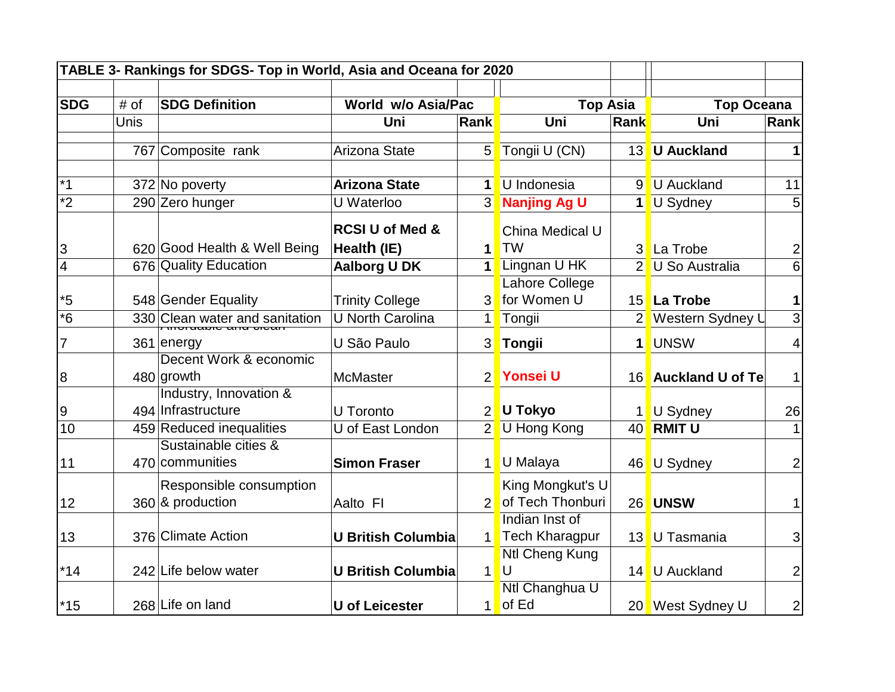| TABLE 3- Rankings for SDGS- Top in World, Asia and Oceana for 2020 |      |                                              |                                           |                |                                           |                |                     |                 |
|--------------------------------------------------------------------|------|----------------------------------------------|-------------------------------------------|----------------|-------------------------------------------|----------------|---------------------|-----------------|
|                                                                    |      |                                              |                                           |                |                                           |                |                     |                 |
| <b>SDG</b>                                                         | # of | <b>SDG Definition</b>                        | World w/o Asia/Pac                        |                | <b>Top Asia</b>                           |                | <b>Top Oceana</b>   |                 |
|                                                                    | Unis |                                              | Uni                                       | <b>Rank</b>    | Uni                                       | Rank           | Uni                 | Rank            |
|                                                                    |      | 767 Composite rank                           | Arizona State                             | 5              | Tongii U (CN)                             | 13             | <b>U</b> Auckland   |                 |
| $*_{1}$                                                            |      | 372 No poverty                               | <b>Arizona State</b>                      | $\mathbf{1}$   | U Indonesia                               | 9 <sup>°</sup> | U Auckland          | 11              |
| $\overline{2}$                                                     |      | 290 Zero hunger                              | U Waterloo                                | 3 <sup>l</sup> | Nanjing Ag U                              |                | 1 U Sydney          |                 |
| 3                                                                  |      | 620 Good Health & Well Being                 | <b>RCSI U of Med &amp;</b><br>Health (IE) | 1              | China Medical U<br><b>TW</b>              |                | 3 La Trobe          | 2               |
| $\overline{4}$                                                     |      | 676 Quality Education                        | <b>Aalborg U DK</b>                       |                | 1 Lingnan U HK                            |                | 2 U So Australia    | $6\phantom{1}6$ |
|                                                                    |      |                                              |                                           |                | Lahore College                            |                |                     |                 |
| $*5$                                                               |      | 548 Gender Equality                          | <b>Trinity College</b>                    | 3              | for Women U                               |                | 15 La Trobe         | 1               |
| $\overline{\cdot_6}$                                               |      | 330 Clean water and sanitation               | <b>U North Carolina</b>                   | 1              | Tongii                                    |                | 2 Western Sydney U  | $\overline{3}$  |
| $\overline{7}$                                                     |      | 361 energy                                   | U São Paulo                               | 3              | Tongii                                    | $\mathbf{1}$   | <b>UNSW</b>         | 4               |
| 8                                                                  |      | Decent Work & economic<br>480 growth         | <b>McMaster</b>                           | $\overline{2}$ | Yonsei U                                  |                | 16 Auckland U of Te |                 |
| 9                                                                  |      | Industry, Innovation &<br>494 Infrastructure | U Toronto                                 | 2 <sup>1</sup> | U Tokyo                                   |                | U Sydney            | 26              |
| 10                                                                 |      | 459 Reduced inequalities                     | U of East London                          | $\overline{2}$ | U Hong Kong                               |                | 40 RMIT U           |                 |
| 11                                                                 |      | Sustainable cities &<br>470 communities      | <b>Simon Fraser</b>                       | 1              | U Malaya                                  |                | 46 U Sydney         | $\overline{2}$  |
| 12                                                                 |      | Responsible consumption<br>360 & production  | Aalto FI                                  | 2 <sup>1</sup> | King Mongkut's U<br>of Tech Thonburi      |                | 26 UNSW             |                 |
| 13                                                                 |      | 376 Climate Action                           | <b>U British Columbia</b>                 |                | Indian Inst of<br>1 Tech Kharagpur        |                | 13 U Tasmania       | 3               |
| $*14$                                                              |      | 242 Life below water                         | <b>U British Columbia</b>                 | 1              | Ntl Cheng Kung<br>$\overline{\mathsf{U}}$ |                | 14 U Auckland       | $\overline{2}$  |
| $*15$                                                              |      | 268 Life on land                             | <b>U</b> of Leicester                     |                | Ntl Changhua U<br>$1$ of Ed               |                | 20 West Sydney U    | $\mathbf{2}$    |